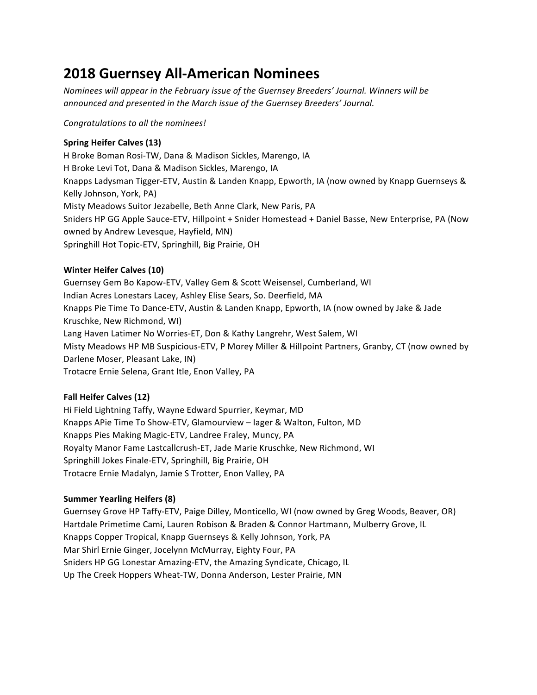# **2018 Guernsey All-American Nominees**

*Nominees will appear in the February issue of the Guernsey Breeders' Journal. Winners will be announced and presented in the March issue of the Guernsey Breeders' Journal.* 

*Congratulations to all the nominees!*

# **Spring Heifer Calves (13)**

H Broke Boman Rosi-TW, Dana & Madison Sickles, Marengo, IA H Broke Levi Tot, Dana & Madison Sickles, Marengo, IA Knapps Ladysman Tigger-ETV, Austin & Landen Knapp, Epworth, IA (now owned by Knapp Guernseys & Kelly Johnson, York, PA) Misty Meadows Suitor Jezabelle, Beth Anne Clark, New Paris, PA Sniders HP GG Apple Sauce-ETV, Hillpoint + Snider Homestead + Daniel Basse, New Enterprise, PA (Now owned by Andrew Levesque, Hayfield, MN) Springhill Hot Topic-ETV, Springhill, Big Prairie, OH

# **Winter Heifer Calves (10)**

Guernsey Gem Bo Kapow-ETV, Valley Gem & Scott Weisensel, Cumberland, WI Indian Acres Lonestars Lacey, Ashley Elise Sears, So. Deerfield, MA Knapps Pie Time To Dance-ETV, Austin & Landen Knapp, Epworth, IA (now owned by Jake & Jade Kruschke, New Richmond, WI) Lang Haven Latimer No Worries-ET, Don & Kathy Langrehr, West Salem, WI Misty Meadows HP MB Suspicious-ETV, P Morey Miller & Hillpoint Partners, Granby, CT (now owned by Darlene Moser, Pleasant Lake, IN) Trotacre Ernie Selena, Grant Itle, Enon Valley, PA

# **Fall Heifer Calves (12)**

Hi Field Lightning Taffy, Wayne Edward Spurrier, Keymar, MD Knapps APie Time To Show-ETV, Glamourview – lager & Walton, Fulton, MD Knapps Pies Making Magic-ETV, Landree Fraley, Muncy, PA Royalty Manor Fame Lastcallcrush-ET, Jade Marie Kruschke, New Richmond, WI Springhill Jokes Finale-ETV, Springhill, Big Prairie, OH Trotacre Ernie Madalyn, Jamie S Trotter, Enon Valley, PA

# **Summer Yearling Heifers (8)**

Guernsey Grove HP Taffy-ETV, Paige Dilley, Monticello, WI (now owned by Greg Woods, Beaver, OR) Hartdale Primetime Cami, Lauren Robison & Braden & Connor Hartmann, Mulberry Grove, IL Knapps Copper Tropical, Knapp Guernseys & Kelly Johnson, York, PA Mar Shirl Ernie Ginger, Jocelynn McMurray, Eighty Four, PA Sniders HP GG Lonestar Amazing-ETV, the Amazing Syndicate, Chicago, IL Up The Creek Hoppers Wheat-TW, Donna Anderson, Lester Prairie, MN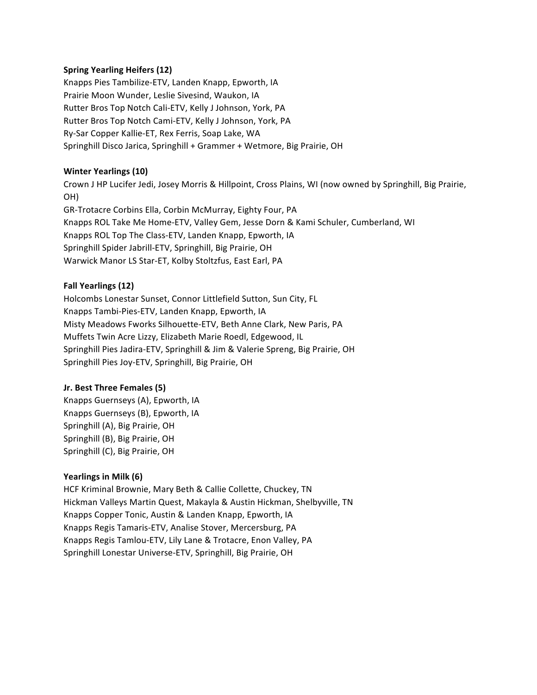## **Spring Yearling Heifers (12)**

Knapps Pies Tambilize-ETV, Landen Knapp, Epworth, IA Prairie Moon Wunder, Leslie Sivesind, Waukon, IA Rutter Bros Top Notch Cali-ETV, Kelly J Johnson, York, PA Rutter Bros Top Notch Cami-ETV, Kelly J Johnson, York, PA Ry-Sar Copper Kallie-ET, Rex Ferris, Soap Lake, WA Springhill Disco Jarica, Springhill + Grammer + Wetmore, Big Prairie, OH

#### **Winter Yearlings (10)**

Crown J HP Lucifer Jedi, Josey Morris & Hillpoint, Cross Plains, WI (now owned by Springhill, Big Prairie, OH)

GR-Trotacre Corbins Ella, Corbin McMurray, Eighty Four, PA Knapps ROL Take Me Home-ETV, Valley Gem, Jesse Dorn & Kami Schuler, Cumberland, WI Knapps ROL Top The Class-ETV, Landen Knapp, Epworth, IA Springhill Spider Jabrill-ETV, Springhill, Big Prairie, OH Warwick Manor LS Star-ET, Kolby Stoltzfus, East Earl, PA

#### **Fall Yearlings (12)**

Holcombs Lonestar Sunset, Connor Littlefield Sutton, Sun City, FL Knapps Tambi-Pies-ETV, Landen Knapp, Epworth, IA Misty Meadows Fworks Silhouette-ETV, Beth Anne Clark, New Paris, PA Muffets Twin Acre Lizzy, Elizabeth Marie Roedl, Edgewood, IL Springhill Pies Jadira-ETV, Springhill & Jim & Valerie Spreng, Big Prairie, OH Springhill Pies Joy-ETV, Springhill, Big Prairie, OH

#### **Jr. Best Three Females (5)**

Knapps Guernseys (A), Epworth, IA Knapps Guernseys (B), Epworth, IA Springhill (A), Big Prairie, OH Springhill (B), Big Prairie, OH Springhill (C), Big Prairie, OH

#### **Yearlings in Milk (6)**

HCF Kriminal Brownie, Mary Beth & Callie Collette, Chuckey, TN Hickman Valleys Martin Quest, Makayla & Austin Hickman, Shelbyville, TN Knapps Copper Tonic, Austin & Landen Knapp, Epworth, IA Knapps Regis Tamaris-ETV, Analise Stover, Mercersburg, PA Knapps Regis Tamlou-ETV, Lily Lane & Trotacre, Enon Valley, PA Springhill Lonestar Universe-ETV, Springhill, Big Prairie, OH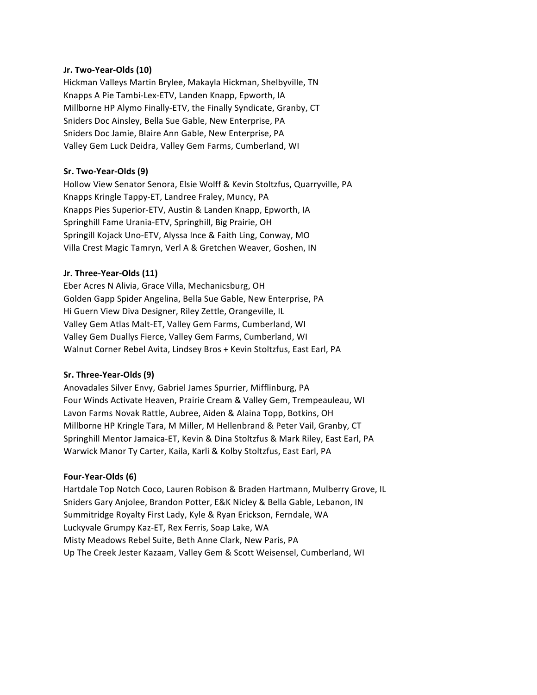#### **Jr. Two-Year-Olds (10)**

Hickman Valleys Martin Brylee, Makayla Hickman, Shelbyville, TN Knapps A Pie Tambi-Lex-ETV, Landen Knapp, Epworth, IA Millborne HP Alymo Finally-ETV, the Finally Syndicate, Granby, CT Sniders Doc Ainsley, Bella Sue Gable, New Enterprise, PA Sniders Doc Jamie, Blaire Ann Gable, New Enterprise, PA Valley Gem Luck Deidra, Valley Gem Farms, Cumberland, WI

#### **Sr. Two-Year-Olds (9)**

Hollow View Senator Senora, Elsie Wolff & Kevin Stoltzfus, Quarryville, PA Knapps Kringle Tappy-ET, Landree Fraley, Muncy, PA Knapps Pies Superior-ETV, Austin & Landen Knapp, Epworth, IA Springhill Fame Urania-ETV, Springhill, Big Prairie, OH Springill Kojack Uno-ETV, Alyssa Ince & Faith Ling, Conway, MO Villa Crest Magic Tamryn, Verl A & Gretchen Weaver, Goshen, IN

#### **Jr. Three-Year-Olds (11)**

Eber Acres N Alivia, Grace Villa, Mechanicsburg, OH Golden Gapp Spider Angelina, Bella Sue Gable, New Enterprise, PA Hi Guern View Diva Designer, Riley Zettle, Orangeville, IL Valley Gem Atlas Malt-ET, Valley Gem Farms, Cumberland, WI Valley Gem Duallys Fierce, Valley Gem Farms, Cumberland, WI Walnut Corner Rebel Avita, Lindsey Bros + Kevin Stoltzfus, East Earl, PA

## **Sr. Three-Year-Olds (9)**

Anovadales Silver Envy, Gabriel James Spurrier, Mifflinburg, PA Four Winds Activate Heaven, Prairie Cream & Valley Gem, Trempeauleau, WI Lavon Farms Novak Rattle, Aubree, Aiden & Alaina Topp, Botkins, OH Millborne HP Kringle Tara, M Miller, M Hellenbrand & Peter Vail, Granby, CT Springhill Mentor Jamaica-ET, Kevin & Dina Stoltzfus & Mark Riley, East Earl, PA Warwick Manor Ty Carter, Kaila, Karli & Kolby Stoltzfus, East Earl, PA

## **Four-Year-Olds (6)**

Hartdale Top Notch Coco, Lauren Robison & Braden Hartmann, Mulberry Grove, IL Sniders Gary Anjolee, Brandon Potter, E&K Nicley & Bella Gable, Lebanon, IN Summitridge Royalty First Lady, Kyle & Ryan Erickson, Ferndale, WA Luckyvale Grumpy Kaz-ET, Rex Ferris, Soap Lake, WA Misty Meadows Rebel Suite, Beth Anne Clark, New Paris, PA Up The Creek Jester Kazaam, Valley Gem & Scott Weisensel, Cumberland, WI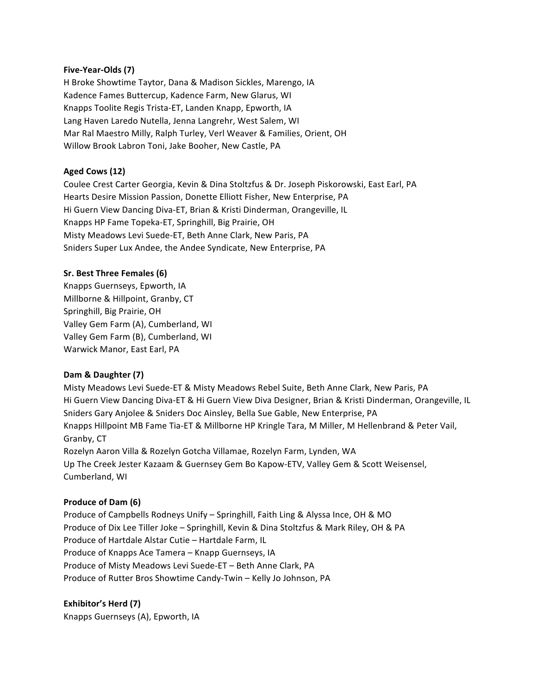#### **Five-Year-Olds (7)**

H Broke Showtime Taytor, Dana & Madison Sickles, Marengo, IA Kadence Fames Buttercup, Kadence Farm, New Glarus, WI Knapps Toolite Regis Trista-ET, Landen Knapp, Epworth, IA Lang Haven Laredo Nutella, Jenna Langrehr, West Salem, WI Mar Ral Maestro Milly, Ralph Turley, Verl Weaver & Families, Orient, OH Willow Brook Labron Toni, Jake Booher, New Castle, PA

## **Aged Cows (12)**

Coulee Crest Carter Georgia, Kevin & Dina Stoltzfus & Dr. Joseph Piskorowski, East Earl, PA Hearts Desire Mission Passion, Donette Elliott Fisher, New Enterprise, PA Hi Guern View Dancing Diva-ET, Brian & Kristi Dinderman, Orangeville, IL Knapps HP Fame Topeka-ET, Springhill, Big Prairie, OH Misty Meadows Levi Suede-ET, Beth Anne Clark, New Paris, PA Sniders Super Lux Andee, the Andee Syndicate, New Enterprise, PA

#### **Sr. Best Three Females (6)**

Knapps Guernseys, Epworth, IA Millborne & Hillpoint, Granby, CT Springhill, Big Prairie, OH Valley Gem Farm (A), Cumberland, WI Valley Gem Farm (B), Cumberland, WI Warwick Manor, East Earl, PA

## **Dam & Daughter (7)**

Misty Meadows Levi Suede-ET & Misty Meadows Rebel Suite, Beth Anne Clark, New Paris, PA Hi Guern View Dancing Diva-ET & Hi Guern View Diva Designer, Brian & Kristi Dinderman, Orangeville, IL Sniders Gary Anjolee & Sniders Doc Ainsley, Bella Sue Gable, New Enterprise, PA Knapps Hillpoint MB Fame Tia-ET & Millborne HP Kringle Tara, M Miller, M Hellenbrand & Peter Vail, Granby, CT Rozelyn Aaron Villa & Rozelyn Gotcha Villamae, Rozelyn Farm, Lynden, WA Up The Creek Jester Kazaam & Guernsey Gem Bo Kapow-ETV, Valley Gem & Scott Weisensel, Cumberland, WI

#### **Produce of Dam (6)**

Produce of Campbells Rodneys Unify - Springhill, Faith Ling & Alyssa Ince, OH & MO Produce of Dix Lee Tiller Joke – Springhill, Kevin & Dina Stoltzfus & Mark Riley, OH & PA Produce of Hartdale Alstar Cutie - Hartdale Farm, IL Produce of Knapps Ace Tamera – Knapp Guernseys, IA Produce of Misty Meadows Levi Suede-ET - Beth Anne Clark, PA Produce of Rutter Bros Showtime Candy-Twin - Kelly Jo Johnson, PA

## Exhibitor's Herd (7)

Knapps Guernseys (A), Epworth, IA